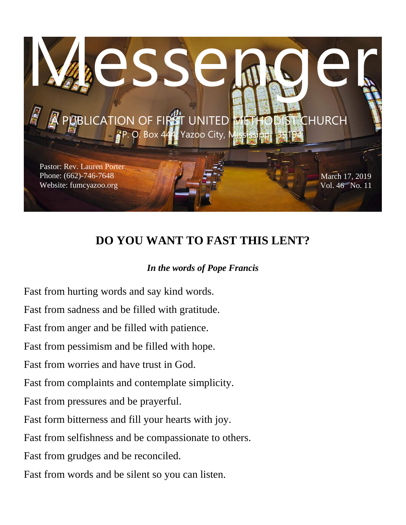

# **DO YOU WANT TO FAST THIS LENT?**

### *In the words of Pope Francis*

Fast from hurting words and say kind words. Fast from sadness and be filled with gratitude. Fast from anger and be filled with patience. Fast from pessimism and be filled with hope. Fast from worries and have trust in God. Fast from complaints and contemplate simplicity. Fast from pressures and be prayerful. Fast form bitterness and fill your hearts with joy. Fast from selfishness and be compassionate to others. Fast from grudges and be reconciled. Fast from words and be silent so you can listen.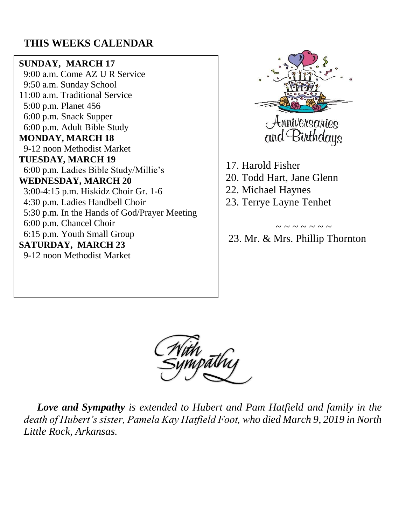# **THIS WEEKS CALENDAR**

#### **SUNDAY, MARCH 17**

 9:00 a.m. Come AZ U R Service 9:50 a.m. Sunday School 11:00 a.m. Traditional Service 5:00 p.m. Planet 456 6:00 p.m. Snack Supper 6:00 p.m. Adult Bible Study **MONDAY, MARCH 18** 9-12 noon Methodist Market **TUESDAY, MARCH 19** 6:00 p.m. Ladies Bible Study/Millie's **WEDNESDAY, MARCH 20** 3:00-4:15 p.m. Hiskidz Choir Gr. 1-6 4:30 p.m. Ladies Handbell Choir 5:30 p.m. In the Hands of God/Prayer Meeting 6:00 p.m. Chancel Choir 6:15 p.m. Youth Small Group **SATURDAY, MARCH 23** 9-12 noon Methodist Market



17. Harold Fisher 20. Todd Hart, Jane Glenn 22. Michael Haynes 23. Terrye Layne Tenhet

23. Mr. & Mrs. Phillip Thornton

 $\sim$   $\sim$   $\sim$   $\sim$   $\sim$   $\sim$ 



 *Love and Sympathy is extended to Hubert and Pam Hatfield and family in the death of Hubert's sister, Pamela Kay Hatfield Foot, who died March 9, 2019 in North Little Rock, Arkansas.*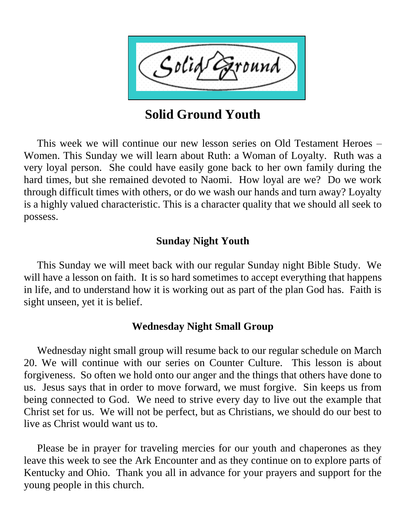

**Solid Ground Youth**

 This week we will continue our new lesson series on Old Testament Heroes – Women. This Sunday we will learn about Ruth: a Woman of Loyalty. Ruth was a very loyal person. She could have easily gone back to her own family during the hard times, but she remained devoted to Naomi. How loyal are we? Do we work through difficult times with others, or do we wash our hands and turn away? Loyalty is a highly valued characteristic. This is a character quality that we should all seek to possess.

# **Sunday Night Youth**

 This Sunday we will meet back with our regular Sunday night Bible Study. We will have a lesson on faith. It is so hard sometimes to accept everything that happens in life, and to understand how it is working out as part of the plan God has. Faith is sight unseen, yet it is belief.

# **Wednesday Night Small Group**

 Wednesday night small group will resume back to our regular schedule on March 20. We will continue with our series on Counter Culture. This lesson is about forgiveness. So often we hold onto our anger and the things that others have done to us. Jesus says that in order to move forward, we must forgive. Sin keeps us from being connected to God. We need to strive every day to live out the example that Christ set for us. We will not be perfect, but as Christians, we should do our best to live as Christ would want us to.

 Please be in prayer for traveling mercies for our youth and chaperones as they leave this week to see the Ark Encounter and as they continue on to explore parts of Kentucky and Ohio. Thank you all in advance for your prayers and support for the young people in this church.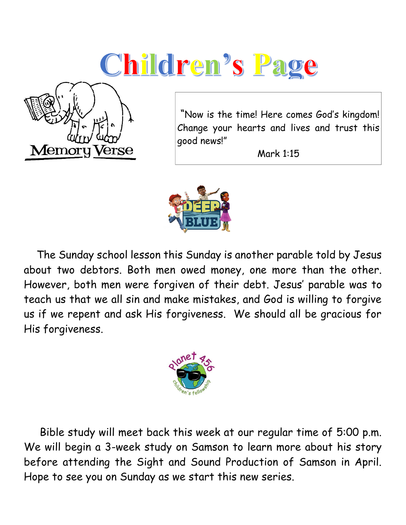# Children's Page



"Now is the time! Here comes God's kingdom! Change your hearts and lives and trust this good news!"

Mark 1:15



 The Sunday school lesson this Sunday is another parable told by Jesus about two debtors. Both men owed money, one more than the other. However, both men were forgiven of their debt. Jesus' parable was to teach us that we all sin and make mistakes, and God is willing to forgive us if we repent and ask His forgiveness. We should all be gracious for His forgiveness.



 Bible study will meet back this week at our regular time of 5:00 p.m. We will begin a 3-week study on Samson to learn more about his story before attending the Sight and Sound Production of Samson in April. Hope to see you on Sunday as we start this new series.